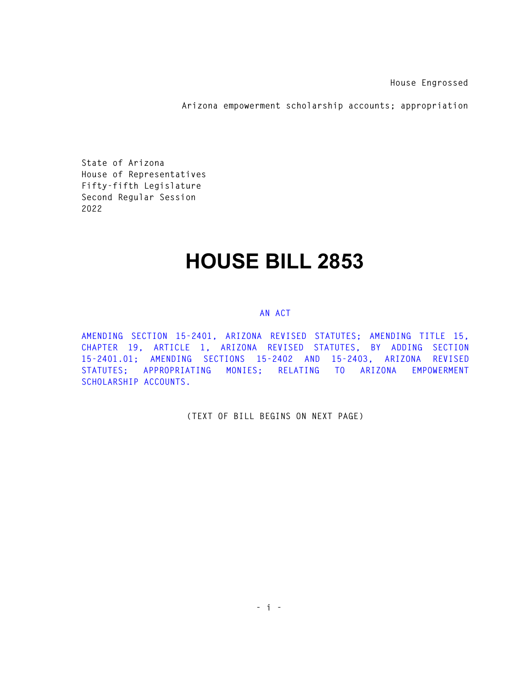**House Engrossed** 

**Arizona empowerment scholarship accounts; appropriation** 

**State of Arizona House of Representatives Fifty-fifth Legislature Second Regular Session 2022** 

## **HOUSE BILL 2853**

## **AN ACT**

**AMENDING SECTION 15-2401, ARIZONA REVISED STATUTES; AMENDING TITLE 15, CHAPTER 19, ARTICLE 1, ARIZONA REVISED STATUTES, BY ADDING SECTION 15-2401.01; AMENDING SECTIONS 15-2402 AND 15-2403, ARIZONA REVISED STATUTES; APPROPRIATING MONIES; RELATING TO ARIZONA EMPOWERMENT SCHOLARSHIP ACCOUNTS.** 

**(TEXT OF BILL BEGINS ON NEXT PAGE)**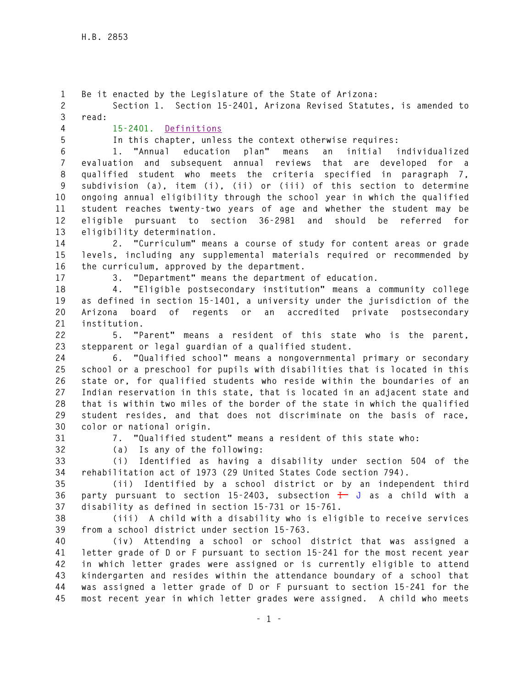**1 Be it enacted by the Legislature of the State of Arizona: 2 Section 1. Section 15-2401, Arizona Revised Statutes, is amended to 3 read: 4 15-2401. Definitions 5 In this chapter, unless the context otherwise requires: 6 1. "Annual education plan" means an initial individualized 7 evaluation and subsequent annual reviews that are developed for a 8 qualified student who meets the criteria specified in paragraph 7, 9 subdivision (a), item (i), (ii) or (iii) of this section to determine 10 ongoing annual eligibility through the school year in which the qualified 11 student reaches twenty-two years of age and whether the student may be 12 eligible pursuant to section 36-2981 and should be referred for 13 eligibility determination. 14 2. "Curriculum" means a course of study for content areas or grade 15 levels, including any supplemental materials required or recommended by 16 the curriculum, approved by the department. 17 3. "Department" means the department of education. 18 4. "Eligible postsecondary institution" means a community college 19 as defined in section 15-1401, a university under the jurisdiction of the 20 Arizona board of regents or an accredited private postsecondary 21 institution. 22 5. "Parent" means a resident of this state who is the parent, 23 stepparent or legal guardian of a qualified student. 24 6. "Qualified school" means a nongovernmental primary or secondary 25 school or a preschool for pupils with disabilities that is located in this 26 state or, for qualified students who reside within the boundaries of an 27 Indian reservation in this state, that is located in an adjacent state and 28 that is within two miles of the border of the state in which the qualified 29 student resides, and that does not discriminate on the basis of race, 30 color or national origin. 31 7. "Qualified student" means a resident of this state who: 32 (a) Is any of the following: 33 (i) Identified as having a disability under section 504 of the 34 rehabilitation act of 1973 (29 United States Code section 794). 35 (ii) Identified by a school district or by an independent third 36 party pursuant to section 15-2403, subsection I J as a child with a 37 disability as defined in section 15-731 or 15-761. 38 (iii) A child with a disability who is eligible to receive services 39 from a school district under section 15-763. 40 (iv) Attending a school or school district that was assigned a 41 letter grade of D or F pursuant to section 15-241 for the most recent year 42 in which letter grades were assigned or is currently eligible to attend 43 kindergarten and resides within the attendance boundary of a school that 44 was assigned a letter grade of D or F pursuant to section 15-241 for the 45 most recent year in which letter grades were assigned. A child who meets**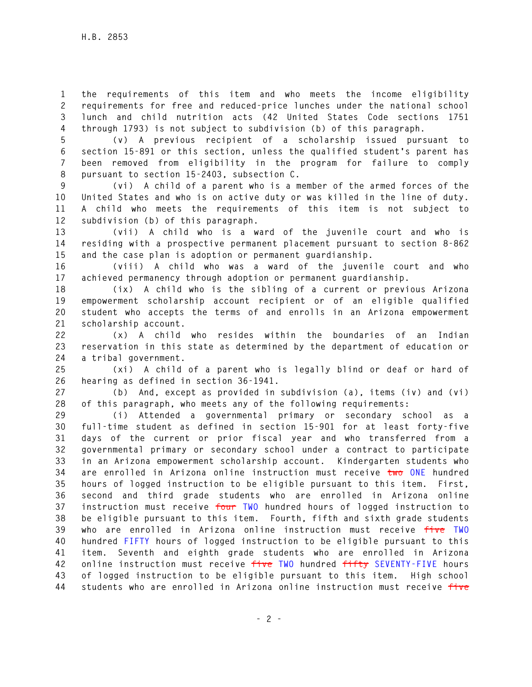**1 the requirements of this item and who meets the income eligibility 2 requirements for free and reduced-price lunches under the national school 3 lunch and child nutrition acts (42 United States Code sections 1751 4 through 1793) is not subject to subdivision (b) of this paragraph.** 

**5 (v) A previous recipient of a scholarship issued pursuant to 6 section 15-891 or this section, unless the qualified student's parent has 7 been removed from eligibility in the program for failure to comply 8 pursuant to section 15-2403, subsection C.** 

**9 (vi) A child of a parent who is a member of the armed forces of the 10 United States and who is on active duty or was killed in the line of duty. 11 A child who meets the requirements of this item is not subject to 12 subdivision (b) of this paragraph.** 

**13 (vii) A child who is a ward of the juvenile court and who is 14 residing with a prospective permanent placement pursuant to section 8-862 15 and the case plan is adoption or permanent guardianship.** 

**16 (viii) A child who was a ward of the juvenile court and who 17 achieved permanency through adoption or permanent guardianship.** 

**18 (ix) A child who is the sibling of a current or previous Arizona 19 empowerment scholarship account recipient or of an eligible qualified 20 student who accepts the terms of and enrolls in an Arizona empowerment 21 scholarship account.** 

**22 (x) A child who resides within the boundaries of an Indian 23 reservation in this state as determined by the department of education or 24 a tribal government.** 

**25 (xi) A child of a parent who is legally blind or deaf or hard of 26 hearing as defined in section 36-1941.** 

**27 (b) And, except as provided in subdivision (a), items (iv) and (vi) 28 of this paragraph, who meets any of the following requirements:** 

**29 (i) Attended a governmental primary or secondary school as a 30 full-time student as defined in section 15-901 for at least forty-five 31 days of the current or prior fiscal year and who transferred from a 32 governmental primary or secondary school under a contract to participate 33 in an Arizona empowerment scholarship account. Kindergarten students who 34 are enrolled in Arizona online instruction must receive two ONE hundred 35 hours of logged instruction to be eligible pursuant to this item. First, 36 second and third grade students who are enrolled in Arizona online 37 instruction must receive four TWO hundred hours of logged instruction to 38 be eligible pursuant to this item. Fourth, fifth and sixth grade students 39 who are enrolled in Arizona online instruction must receive five TWO 40 hundred FIFTY hours of logged instruction to be eligible pursuant to this 41 item. Seventh and eighth grade students who are enrolled in Arizona 42 online instruction must receive five TWO hundred fifty SEVENTY-FIVE hours 43 of logged instruction to be eligible pursuant to this item. High school 44 students who are enrolled in Arizona online instruction must receive five**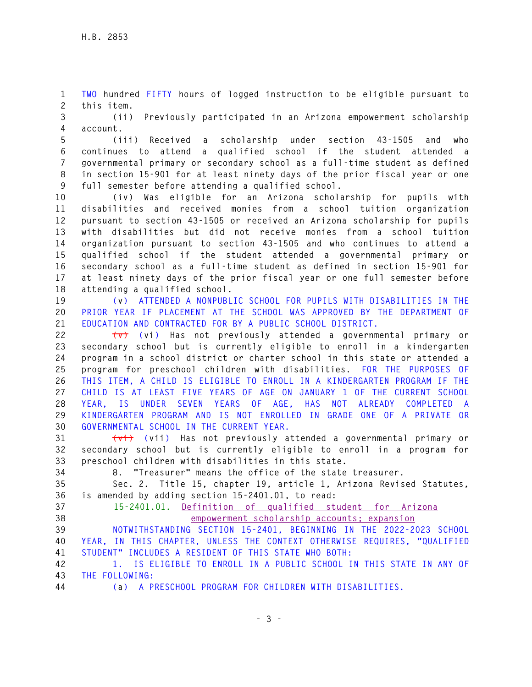**1 TWO hundred FIFTY hours of logged instruction to be eligible pursuant to 2 this item.** 

**3 (ii) Previously participated in an Arizona empowerment scholarship 4 account.** 

**5 (iii) Received a scholarship under section 43-1505 and who 6 continues to attend a qualified school if the student attended a 7 governmental primary or secondary school as a full-time student as defined 8 in section 15-901 for at least ninety days of the prior fiscal year or one 9 full semester before attending a qualified school.** 

**10 (iv) Was eligible for an Arizona scholarship for pupils with 11 disabilities and received monies from a school tuition organization 12 pursuant to section 43-1505 or received an Arizona scholarship for pupils 13 with disabilities but did not receive monies from a school tuition 14 organization pursuant to section 43-1505 and who continues to attend a 15 qualified school if the student attended a governmental primary or 16 secondary school as a full-time student as defined in section 15-901 for 17 at least ninety days of the prior fiscal year or one full semester before 18 attending a qualified school.** 

**19 (v) ATTENDED A NONPUBLIC SCHOOL FOR PUPILS WITH DISABILITIES IN THE 20 PRIOR YEAR IF PLACEMENT AT THE SCHOOL WAS APPROVED BY THE DEPARTMENT OF 21 EDUCATION AND CONTRACTED FOR BY A PUBLIC SCHOOL DISTRICT.** 

**22 (v) (vi) Has not previously attended a governmental primary or 23 secondary school but is currently eligible to enroll in a kindergarten 24 program in a school district or charter school in this state or attended a 25 program for preschool children with disabilities. FOR THE PURPOSES OF 26 THIS ITEM, A CHILD IS ELIGIBLE TO ENROLL IN A KINDERGARTEN PROGRAM IF THE 27 CHILD IS AT LEAST FIVE YEARS OF AGE ON JANUARY 1 OF THE CURRENT SCHOOL 28 YEAR, IS UNDER SEVEN YEARS OF AGE, HAS NOT ALREADY COMPLETED A 29 KINDERGARTEN PROGRAM AND IS NOT ENROLLED IN GRADE ONE OF A PRIVATE OR 30 GOVERNMENTAL SCHOOL IN THE CURRENT YEAR.** 

**31 (vi) (vii) Has not previously attended a governmental primary or 32 secondary school but is currently eligible to enroll in a program for 33 preschool children with disabilities in this state.** 

**34 8. "Treasurer" means the office of the state treasurer.** 

**35 Sec. 2. Title 15, chapter 19, article 1, Arizona Revised Statutes, 36 is amended by adding section 15-2401.01, to read:** 

**37 15-2401.01. Definition of qualified student for Arizona 38 empowerment scholarship accounts; expansion** 

**39 NOTWITHSTANDING SECTION 15-2401, BEGINNING IN THE 2022-2023 SCHOOL 40 YEAR, IN THIS CHAPTER, UNLESS THE CONTEXT OTHERWISE REQUIRES, "QUALIFIED 41 STUDENT" INCLUDES A RESIDENT OF THIS STATE WHO BOTH:** 

**42 1. IS ELIGIBLE TO ENROLL IN A PUBLIC SCHOOL IN THIS STATE IN ANY OF 43 THE FOLLOWING:** 

**44 (a) A PRESCHOOL PROGRAM FOR CHILDREN WITH DISABILITIES.**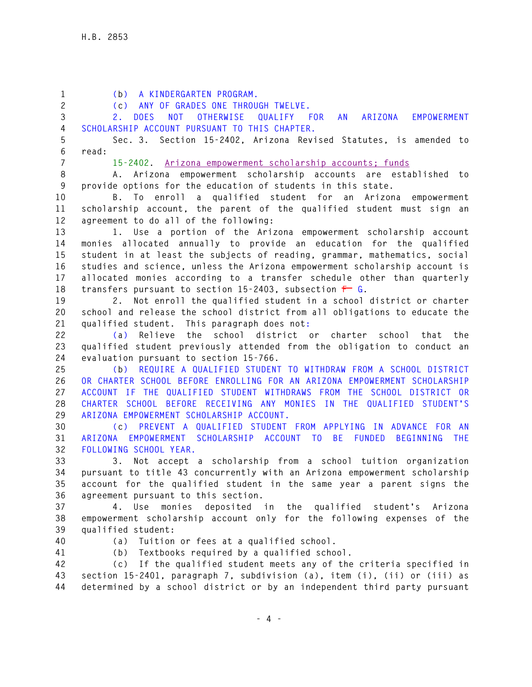| $\mathbf{1}$<br>$\overline{c}$ | (b) A KINDERGARTEN PROGRAM.<br>ANY OF GRADES ONE THROUGH TWELVE.<br>(c)                                                                            |
|--------------------------------|----------------------------------------------------------------------------------------------------------------------------------------------------|
| 3                              | DOES NOT OTHERWISE<br>QUALIFY FOR<br>AN<br>ARIZONA<br>EMPOWERMENT<br>2.                                                                            |
| 4                              | SCHOLARSHIP ACCOUNT PURSUANT TO THIS CHAPTER.                                                                                                      |
| 5                              | Sec. 3. Section 15-2402, Arizona Revised Statutes, is amended to                                                                                   |
| 6                              | read:                                                                                                                                              |
| $\overline{7}$                 | 15-2402. Arizona empowerment scholarship accounts; funds                                                                                           |
| 8                              | A. Arizona empowerment scholarship accounts are established to                                                                                     |
| $\boldsymbol{9}$               | provide options for the education of students in this state.                                                                                       |
| 10<br>11                       | B. To enroll a qualified student for an Arizona<br>empowerment                                                                                     |
| 12                             | scholarship account, the parent of the qualified student must sign an<br>agreement to do all of the following:                                     |
| 13                             | 1. Use a portion of the Arizona empowerment scholarship account                                                                                    |
| 14                             | monies allocated annually to provide an education for the qualified                                                                                |
| 15                             | student in at least the subjects of reading, grammar, mathematics, social                                                                          |
| 16                             | studies and science, unless the Arizona empowerment scholarship account is                                                                         |
| 17                             | allocated monies according to a transfer schedule other than quarterly                                                                             |
| 18                             | transfers pursuant to section 15-2403, subsection $\overline{r}$ G.                                                                                |
| 19                             | Not enroll the qualified student in a school district or charter<br>2.                                                                             |
| 20                             | school and release the school district from all obligations to educate the                                                                         |
| 21                             | qualified student. This paragraph does not:                                                                                                        |
| 22                             | Relieve the school district or charter school that the<br>(a)                                                                                      |
| 23                             | qualified student previously attended from the obligation to conduct an                                                                            |
| 24                             | evaluation pursuant to section 15-766.                                                                                                             |
| 25                             | (b) REQUIRE A QUALIFIED STUDENT TO WITHDRAW FROM A SCHOOL DISTRICT                                                                                 |
| 26                             | OR CHARTER SCHOOL BEFORE ENROLLING FOR AN ARIZONA EMPOWERMENT SCHOLARSHIP                                                                          |
| 27                             | ACCOUNT IF THE QUALIFIED STUDENT WITHDRAWS FROM THE SCHOOL DISTRICT OR                                                                             |
| 28                             | CHARTER SCHOOL BEFORE RECEIVING ANY MONIES IN THE QUALIFIED STUDENT'S                                                                              |
| 29                             | ARIZONA EMPOWERMENT SCHOLARSHIP ACCOUNT.                                                                                                           |
| 30                             | (c) PREVENT A QUALIFIED STUDENT FROM APPLYING IN ADVANCE FOR AN                                                                                    |
| 31                             | ARIZONA EMPOWERMENT SCHOLARSHIP ACCOUNT TO BE FUNDED BEGINNING THE                                                                                 |
| 32                             | FOLLOWING SCHOOL YEAR.                                                                                                                             |
| 33                             | Not accept a scholarship from a school tuition organization<br>3.                                                                                  |
| 34<br>35                       | pursuant to title 43 concurrently with an Arizona empowerment scholarship<br>account for the qualified student in the same year a parent signs the |
| 36                             | agreement pursuant to this section.                                                                                                                |
| 37                             | deposited in the qualified<br>4. Use<br>monies<br>student's Arizona                                                                                |
| 38                             | empowerment scholarship account only for the following expenses of the                                                                             |
| 39                             | qualified student:                                                                                                                                 |
| 40                             | Tuition or fees at a qualified school.<br>(a)                                                                                                      |
| 41                             | Textbooks required by a qualified school.<br>(b)                                                                                                   |
| 42                             | (c) If the qualified student meets any of the criteria specified in                                                                                |
| 43                             | section 15-2401, paragraph 7, subdivision (a), item (i), (ii) or (iii) as                                                                          |
| 44                             | determined by a school district or by an independent third party pursuant                                                                          |
|                                |                                                                                                                                                    |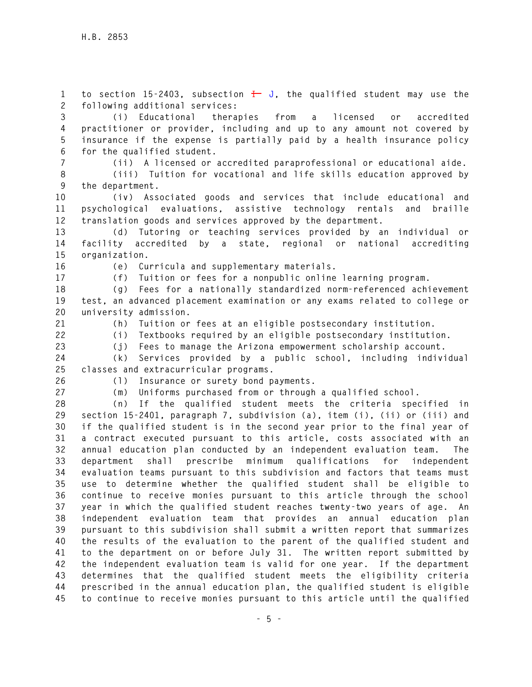1 to section 15-2403, subsection  $\frac{1}{k}$  J, the qualified student may use the **2 following additional services:** 

**3 (i) Educational therapies from a licensed or accredited 4 practitioner or provider, including and up to any amount not covered by 5 insurance if the expense is partially paid by a health insurance policy 6 for the qualified student.** 

**7 (ii) A licensed or accredited paraprofessional or educational aide.** 

**8 (iii) Tuition for vocational and life skills education approved by 9 the department.** 

**10 (iv) Associated goods and services that include educational and 11 psychological evaluations, assistive technology rentals and braille 12 translation goods and services approved by the department.** 

**13 (d) Tutoring or teaching services provided by an individual or 14 facility accredited by a state, regional or national accrediting 15 organization.** 

**16 (e) Curricula and supplementary materials.** 

**17 (f) Tuition or fees for a nonpublic online learning program.** 

**18 (g) Fees for a nationally standardized norm-referenced achievement 19 test, an advanced placement examination or any exams related to college or 20 university admission.** 

**21 (h) Tuition or fees at an eligible postsecondary institution.** 

**22 (i) Textbooks required by an eligible postsecondary institution.** 

**23 (j) Fees to manage the Arizona empowerment scholarship account.** 

**24 (k) Services provided by a public school, including individual 25 classes and extracurricular programs.** 

**26 (l) Insurance or surety bond payments.** 

**27 (m) Uniforms purchased from or through a qualified school.** 

**28 (n) If the qualified student meets the criteria specified in 29 section 15-2401, paragraph 7, subdivision (a), item (i), (ii) or (iii) and 30 if the qualified student is in the second year prior to the final year of 31 a contract executed pursuant to this article, costs associated with an 32 annual education plan conducted by an independent evaluation team. The 33 department shall prescribe minimum qualifications for independent 34 evaluation teams pursuant to this subdivision and factors that teams must 35 use to determine whether the qualified student shall be eligible to 36 continue to receive monies pursuant to this article through the school 37 year in which the qualified student reaches twenty-two years of age. An 38 independent evaluation team that provides an annual education plan 39 pursuant to this subdivision shall submit a written report that summarizes 40 the results of the evaluation to the parent of the qualified student and 41 to the department on or before July 31. The written report submitted by 42 the independent evaluation team is valid for one year. If the department 43 determines that the qualified student meets the eligibility criteria 44 prescribed in the annual education plan, the qualified student is eligible 45 to continue to receive monies pursuant to this article until the qualified**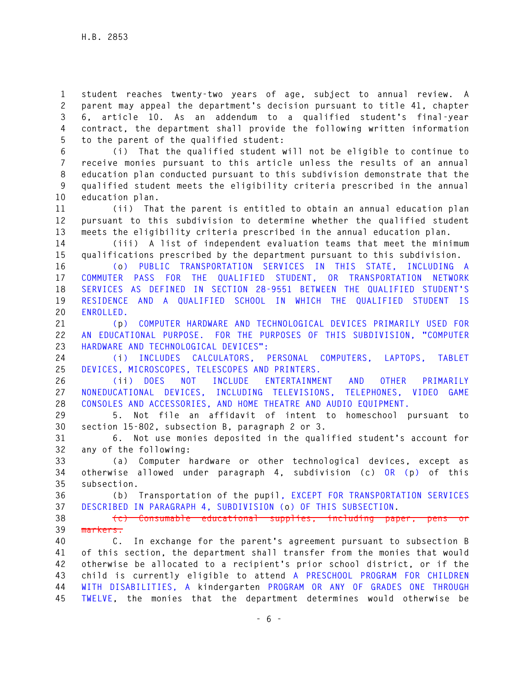**1 student reaches twenty-two years of age, subject to annual review. A 2 parent may appeal the department's decision pursuant to title 41, chapter 3 6, article 10. As an addendum to a qualified student's final-year 4 contract, the department shall provide the following written information 5 to the parent of the qualified student:** 

**6 (i) That the qualified student will not be eligible to continue to 7 receive monies pursuant to this article unless the results of an annual 8 education plan conducted pursuant to this subdivision demonstrate that the 9 qualified student meets the eligibility criteria prescribed in the annual 10 education plan.** 

**11 (ii) That the parent is entitled to obtain an annual education plan 12 pursuant to this subdivision to determine whether the qualified student 13 meets the eligibility criteria prescribed in the annual education plan.** 

**14 (iii) A list of independent evaluation teams that meet the minimum 15 qualifications prescribed by the department pursuant to this subdivision.** 

**16 (o) PUBLIC TRANSPORTATION SERVICES IN THIS STATE, INCLUDING A 17 COMMUTER PASS FOR THE QUALIFIED STUDENT, OR TRANSPORTATION NETWORK 18 SERVICES AS DEFINED IN SECTION 28-9551 BETWEEN THE QUALIFIED STUDENT'S 19 RESIDENCE AND A QUALIFIED SCHOOL IN WHICH THE QUALIFIED STUDENT IS 20 ENROLLED.** 

**21 (p) COMPUTER HARDWARE AND TECHNOLOGICAL DEVICES PRIMARILY USED FOR 22 AN EDUCATIONAL PURPOSE. FOR THE PURPOSES OF THIS SUBDIVISION, "COMPUTER 23 HARDWARE AND TECHNOLOGICAL DEVICES":** 

**24 (i) INCLUDES CALCULATORS, PERSONAL COMPUTERS, LAPTOPS, TABLET 25 DEVICES, MICROSCOPES, TELESCOPES AND PRINTERS.** 

**26 (ii) DOES NOT INCLUDE ENTERTAINMENT AND OTHER PRIMARILY 27 NONEDUCATIONAL DEVICES, INCLUDING TELEVISIONS, TELEPHONES, VIDEO GAME 28 CONSOLES AND ACCESSORIES, AND HOME THEATRE AND AUDIO EQUIPMENT.** 

**29 5. Not file an affidavit of intent to homeschool pursuant to 30 section 15-802, subsection B, paragraph 2 or 3.** 

**31 6. Not use monies deposited in the qualified student's account for 32 any of the following:** 

**33 (a) Computer hardware or other technological devices, except as 34 otherwise allowed under paragraph 4, subdivision (c) OR (p) of this 35 subsection.** 

**36 (b) Transportation of the pupil, EXCEPT FOR TRANSPORTATION SERVICES 37 DESCRIBED IN PARAGRAPH 4, SUBDIVISION (o) OF THIS SUBSECTION.** 

**38 (c) Consumable educational supplies, including paper, pens or 39 markers.** 

**40 C. In exchange for the parent's agreement pursuant to subsection B 41 of this section, the department shall transfer from the monies that would 42 otherwise be allocated to a recipient's prior school district, or if the 43 child is currently eligible to attend A PRESCHOOL PROGRAM FOR CHILDREN 44 WITH DISABILITIES, A kindergarten PROGRAM OR ANY OF GRADES ONE THROUGH 45 TWELVE, the monies that the department determines would otherwise be**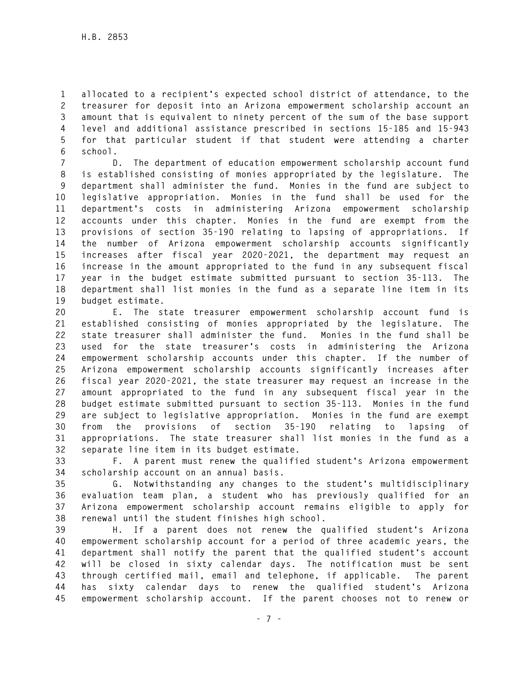**1 allocated to a recipient's expected school district of attendance, to the 2 treasurer for deposit into an Arizona empowerment scholarship account an 3 amount that is equivalent to ninety percent of the sum of the base support 4 level and additional assistance prescribed in sections 15-185 and 15-943 5 for that particular student if that student were attending a charter 6 school.** 

**7 D. The department of education empowerment scholarship account fund 8 is established consisting of monies appropriated by the legislature. The 9 department shall administer the fund. Monies in the fund are subject to 10 legislative appropriation. Monies in the fund shall be used for the 11 department's costs in administering Arizona empowerment scholarship 12 accounts under this chapter. Monies in the fund are exempt from the 13 provisions of section 35-190 relating to lapsing of appropriations. If 14 the number of Arizona empowerment scholarship accounts significantly 15 increases after fiscal year 2020-2021, the department may request an 16 increase in the amount appropriated to the fund in any subsequent fiscal 17 year in the budget estimate submitted pursuant to section 35-113. The 18 department shall list monies in the fund as a separate line item in its 19 budget estimate.** 

**20 E. The state treasurer empowerment scholarship account fund is 21 established consisting of monies appropriated by the legislature. The 22 state treasurer shall administer the fund. Monies in the fund shall be 23 used for the state treasurer's costs in administering the Arizona 24 empowerment scholarship accounts under this chapter. If the number of 25 Arizona empowerment scholarship accounts significantly increases after 26 fiscal year 2020-2021, the state treasurer may request an increase in the 27 amount appropriated to the fund in any subsequent fiscal year in the 28 budget estimate submitted pursuant to section 35-113. Monies in the fund 29 are subject to legislative appropriation. Monies in the fund are exempt 30 from the provisions of section 35-190 relating to lapsing of 31 appropriations. The state treasurer shall list monies in the fund as a 32 separate line item in its budget estimate.** 

**33 F. A parent must renew the qualified student's Arizona empowerment 34 scholarship account on an annual basis.** 

**35 G. Notwithstanding any changes to the student's multidisciplinary 36 evaluation team plan, a student who has previously qualified for an 37 Arizona empowerment scholarship account remains eligible to apply for 38 renewal until the student finishes high school.** 

**39 H. If a parent does not renew the qualified student's Arizona 40 empowerment scholarship account for a period of three academic years, the 41 department shall notify the parent that the qualified student's account 42 will be closed in sixty calendar days. The notification must be sent 43 through certified mail, email and telephone, if applicable. The parent 44 has sixty calendar days to renew the qualified student's Arizona 45 empowerment scholarship account. If the parent chooses not to renew or**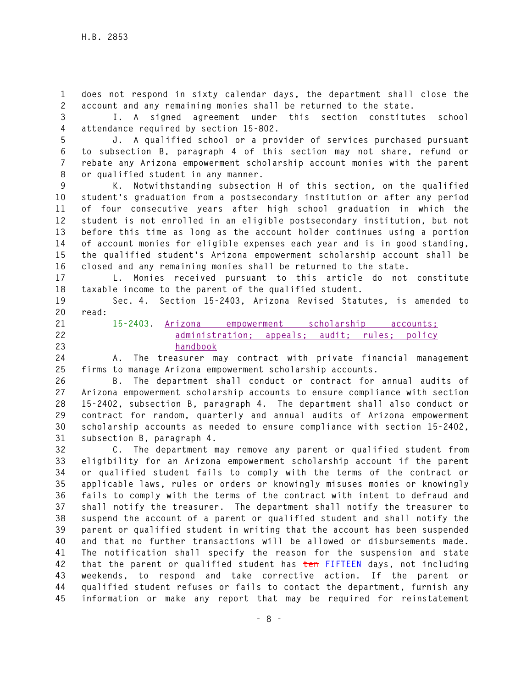**1 does not respond in sixty calendar days, the department shall close the 2 account and any remaining monies shall be returned to the state.** 

**3 I. A signed agreement under this section constitutes school 4 attendance required by section 15-802.** 

**5 J. A qualified school or a provider of services purchased pursuant 6 to subsection B, paragraph 4 of this section may not share, refund or 7 rebate any Arizona empowerment scholarship account monies with the parent 8 or qualified student in any manner.** 

**9 K. Notwithstanding subsection H of this section, on the qualified 10 student's graduation from a postsecondary institution or after any period 11 of four consecutive years after high school graduation in which the 12 student is not enrolled in an eligible postsecondary institution, but not 13 before this time as long as the account holder continues using a portion 14 of account monies for eligible expenses each year and is in good standing, 15 the qualified student's Arizona empowerment scholarship account shall be 16 closed and any remaining monies shall be returned to the state.** 

**17 L. Monies received pursuant to this article do not constitute 18 taxable income to the parent of the qualified student.** 

**19 Sec. 4. Section 15-2403, Arizona Revised Statutes, is amended to 20 read:** 

**21 15-2403. Arizona empowerment scholarship accounts; 22 administration; appeals; audit; rules; policy 23 handbook**

**24 A. The treasurer may contract with private financial management 25 firms to manage Arizona empowerment scholarship accounts.** 

**26 B. The department shall conduct or contract for annual audits of 27 Arizona empowerment scholarship accounts to ensure compliance with section 28 15-2402, subsection B, paragraph 4. The department shall also conduct or 29 contract for random, quarterly and annual audits of Arizona empowerment 30 scholarship accounts as needed to ensure compliance with section 15-2402, 31 subsection B, paragraph 4.** 

**32 C. The department may remove any parent or qualified student from 33 eligibility for an Arizona empowerment scholarship account if the parent 34 or qualified student fails to comply with the terms of the contract or 35 applicable laws, rules or orders or knowingly misuses monies or knowingly 36 fails to comply with the terms of the contract with intent to defraud and 37 shall notify the treasurer. The department shall notify the treasurer to 38 suspend the account of a parent or qualified student and shall notify the 39 parent or qualified student in writing that the account has been suspended 40 and that no further transactions will be allowed or disbursements made. 41 The notification shall specify the reason for the suspension and state 42 that the parent or qualified student has ten FIFTEEN days, not including 43 weekends, to respond and take corrective action. If the parent or 44 qualified student refuses or fails to contact the department, furnish any 45 information or make any report that may be required for reinstatement**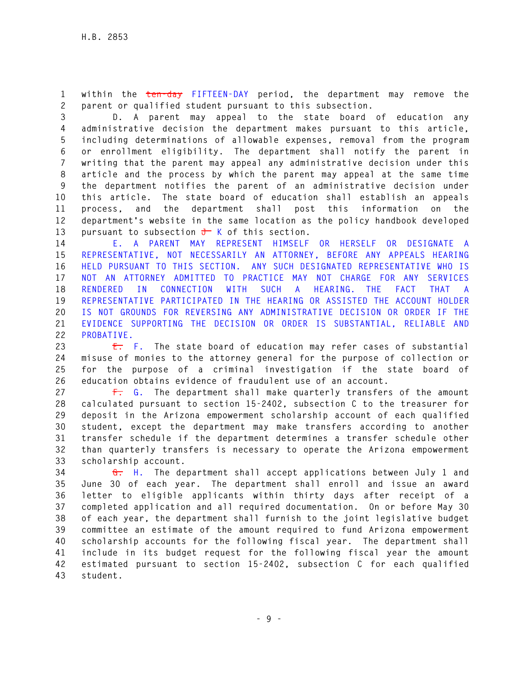**1 within the ten-day FIFTEEN-DAY period, the department may remove the 2 parent or qualified student pursuant to this subsection.** 

**3 D. A parent may appeal to the state board of education any 4 administrative decision the department makes pursuant to this article, 5 including determinations of allowable expenses, removal from the program 6 or enrollment eligibility. The department shall notify the parent in 7 writing that the parent may appeal any administrative decision under this 8 article and the process by which the parent may appeal at the same time 9 the department notifies the parent of an administrative decision under 10 this article. The state board of education shall establish an appeals 11 process, and the department shall post this information on the 12 department's website in the same location as the policy handbook developed**  13 pursuant to subsection  $\frac{1}{\sqrt{2}}$  K of this section.

**14 E. A PARENT MAY REPRESENT HIMSELF OR HERSELF OR DESIGNATE A 15 REPRESENTATIVE, NOT NECESSARILY AN ATTORNEY, BEFORE ANY APPEALS HEARING 16 HELD PURSUANT TO THIS SECTION. ANY SUCH DESIGNATED REPRESENTATIVE WHO IS 17 NOT AN ATTORNEY ADMITTED TO PRACTICE MAY NOT CHARGE FOR ANY SERVICES 18 RENDERED IN CONNECTION WITH SUCH A HEARING. THE FACT THAT A 19 REPRESENTATIVE PARTICIPATED IN THE HEARING OR ASSISTED THE ACCOUNT HOLDER 20 IS NOT GROUNDS FOR REVERSING ANY ADMINISTRATIVE DECISION OR ORDER IF THE 21 EVIDENCE SUPPORTING THE DECISION OR ORDER IS SUBSTANTIAL, RELIABLE AND 22 PROBATIVE.** 

**23 E. F. The state board of education may refer cases of substantial 24 misuse of monies to the attorney general for the purpose of collection or 25 for the purpose of a criminal investigation if the state board of 26 education obtains evidence of fraudulent use of an account.** 

**27 F. G. The department shall make quarterly transfers of the amount 28 calculated pursuant to section 15-2402, subsection C to the treasurer for 29 deposit in the Arizona empowerment scholarship account of each qualified 30 student, except the department may make transfers according to another 31 transfer schedule if the department determines a transfer schedule other 32 than quarterly transfers is necessary to operate the Arizona empowerment 33 scholarship account.** 

**34 G. H. The department shall accept applications between July 1 and 35 June 30 of each year. The department shall enroll and issue an award 36 letter to eligible applicants within thirty days after receipt of a 37 completed application and all required documentation. On or before May 30 38 of each year, the department shall furnish to the joint legislative budget 39 committee an estimate of the amount required to fund Arizona empowerment 40 scholarship accounts for the following fiscal year. The department shall 41 include in its budget request for the following fiscal year the amount 42 estimated pursuant to section 15-2402, subsection C for each qualified 43 student.**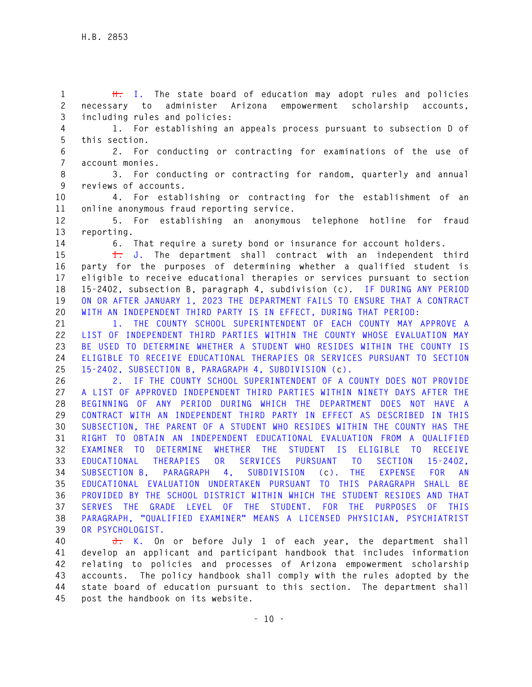**1 H. I. The state board of education may adopt rules and policies 2 necessary to administer Arizona empowerment scholarship accounts, 3 including rules and policies:** 

**4 1. For establishing an appeals process pursuant to subsection D of 5 this section.** 

**6 2. For conducting or contracting for examinations of the use of 7 account monies.** 

**8 3. For conducting or contracting for random, quarterly and annual 9 reviews of accounts.** 

**10 4. For establishing or contracting for the establishment of an 11 online anonymous fraud reporting service.** 

**12 5. For establishing an anonymous telephone hotline for fraud 13 reporting.** 

**14 6. That require a surety bond or insurance for account holders.** 

**15 I. J. The department shall contract with an independent third 16 party for the purposes of determining whether a qualified student is 17 eligible to receive educational therapies or services pursuant to section 18 15-2402, subsection B, paragraph 4, subdivision (c). IF DURING ANY PERIOD 19 ON OR AFTER JANUARY 1, 2023 THE DEPARTMENT FAILS TO ENSURE THAT A CONTRACT 20 WITH AN INDEPENDENT THIRD PARTY IS IN EFFECT, DURING THAT PERIOD:** 

**21 1. THE COUNTY SCHOOL SUPERINTENDENT OF EACH COUNTY MAY APPROVE A 22 LIST OF INDEPENDENT THIRD PARTIES WITHIN THE COUNTY WHOSE EVALUATION MAY 23 BE USED TO DETERMINE WHETHER A STUDENT WHO RESIDES WITHIN THE COUNTY IS 24 ELIGIBLE TO RECEIVE EDUCATIONAL THERAPIES OR SERVICES PURSUANT TO SECTION 25 15-2402, SUBSECTION B, PARAGRAPH 4, SUBDIVISION (c).** 

**26 2. IF THE COUNTY SCHOOL SUPERINTENDENT OF A COUNTY DOES NOT PROVIDE 27 A LIST OF APPROVED INDEPENDENT THIRD PARTIES WITHIN NINETY DAYS AFTER THE 28 BEGINNING OF ANY PERIOD DURING WHICH THE DEPARTMENT DOES NOT HAVE A 29 CONTRACT WITH AN INDEPENDENT THIRD PARTY IN EFFECT AS DESCRIBED IN THIS 30 SUBSECTION, THE PARENT OF A STUDENT WHO RESIDES WITHIN THE COUNTY HAS THE 31 RIGHT TO OBTAIN AN INDEPENDENT EDUCATIONAL EVALUATION FROM A QUALIFIED 32 EXAMINER TO DETERMINE WHETHER THE STUDENT IS ELIGIBLE TO RECEIVE 33 EDUCATIONAL THERAPIES OR SERVICES PURSUANT TO SECTION 15-2402, 34 SUBSECTION B, PARAGRAPH 4, SUBDIVISION (c). THE EXPENSE FOR AN 35 EDUCATIONAL EVALUATION UNDERTAKEN PURSUANT TO THIS PARAGRAPH SHALL BE 36 PROVIDED BY THE SCHOOL DISTRICT WITHIN WHICH THE STUDENT RESIDES AND THAT 37 SERVES THE GRADE LEVEL OF THE STUDENT. FOR THE PURPOSES OF THIS 38 PARAGRAPH, "QUALIFIED EXAMINER" MEANS A LICENSED PHYSICIAN, PSYCHIATRIST 39 OR PSYCHOLOGIST.** 

**40 J. K. On or before July 1 of each year, the department shall 41 develop an applicant and participant handbook that includes information 42 relating to policies and processes of Arizona empowerment scholarship 43 accounts. The policy handbook shall comply with the rules adopted by the 44 state board of education pursuant to this section. The department shall 45 post the handbook on its website.**